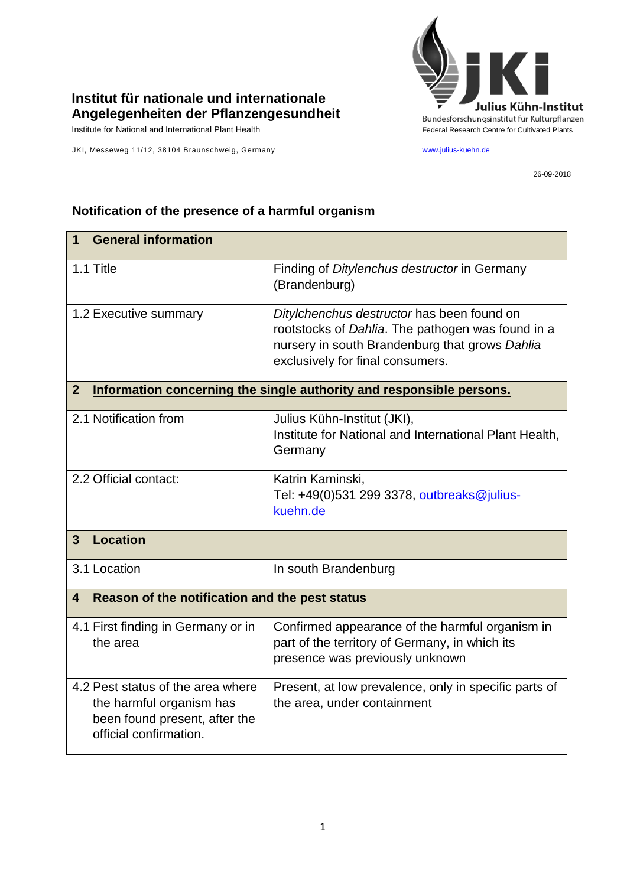

## **Institut für nationale und internationale Angelegenheiten der Pflanzengesundheit**

JKI, Messeweg 11/12, 38104 Braunschweig, Germany [www.julius-kuehn.de](http://www.julius-kuehn.de/)

26-09-2018

## **Notification of the presence of a harmful organism**

| <b>General information</b><br>1                                                                                          |                                                                                                                                                                                       |  |
|--------------------------------------------------------------------------------------------------------------------------|---------------------------------------------------------------------------------------------------------------------------------------------------------------------------------------|--|
| 1.1 Title                                                                                                                | Finding of Ditylenchus destructor in Germany<br>(Brandenburg)                                                                                                                         |  |
| 1.2 Executive summary                                                                                                    | Ditylchenchus destructor has been found on<br>rootstocks of Dahlia. The pathogen was found in a<br>nursery in south Brandenburg that grows Dahlia<br>exclusively for final consumers. |  |
| $\overline{2}$<br>Information concerning the single authority and responsible persons.                                   |                                                                                                                                                                                       |  |
| 2.1 Notification from                                                                                                    | Julius Kühn-Institut (JKI),<br>Institute for National and International Plant Health,<br>Germany                                                                                      |  |
| 2.2 Official contact:                                                                                                    | Katrin Kaminski,<br>Tel: +49(0)531 299 3378, outbreaks@julius-<br>kuehn.de                                                                                                            |  |
| <b>Location</b><br>3                                                                                                     |                                                                                                                                                                                       |  |
| 3.1 Location                                                                                                             | In south Brandenburg                                                                                                                                                                  |  |
| Reason of the notification and the pest status<br>4                                                                      |                                                                                                                                                                                       |  |
| 4.1 First finding in Germany or in<br>the area                                                                           | Confirmed appearance of the harmful organism in<br>part of the territory of Germany, in which its<br>presence was previously unknown                                                  |  |
| 4.2 Pest status of the area where<br>the harmful organism has<br>been found present, after the<br>official confirmation. | Present, at low prevalence, only in specific parts of<br>the area, under containment                                                                                                  |  |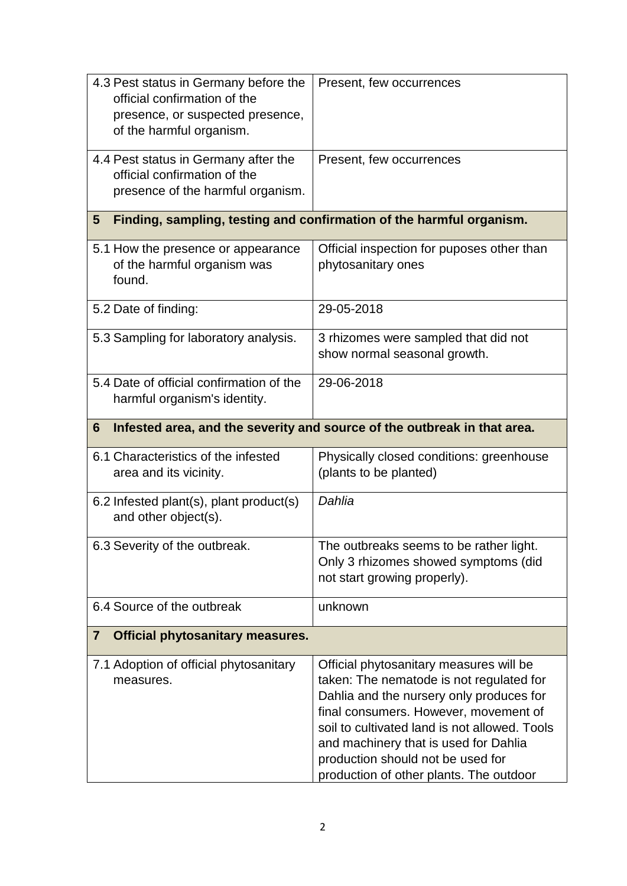| 4.3 Pest status in Germany before the<br>official confirmation of the<br>presence, or suspected presence,<br>of the harmful organism. | Present, few occurrences                                                                                                                                                                                                                                                                                                                           |
|---------------------------------------------------------------------------------------------------------------------------------------|----------------------------------------------------------------------------------------------------------------------------------------------------------------------------------------------------------------------------------------------------------------------------------------------------------------------------------------------------|
| 4.4 Pest status in Germany after the<br>official confirmation of the<br>presence of the harmful organism.                             | Present, few occurrences                                                                                                                                                                                                                                                                                                                           |
| Finding, sampling, testing and confirmation of the harmful organism.<br>5                                                             |                                                                                                                                                                                                                                                                                                                                                    |
| 5.1 How the presence or appearance<br>of the harmful organism was<br>found.                                                           | Official inspection for puposes other than<br>phytosanitary ones                                                                                                                                                                                                                                                                                   |
| 5.2 Date of finding:                                                                                                                  | 29-05-2018                                                                                                                                                                                                                                                                                                                                         |
| 5.3 Sampling for laboratory analysis.                                                                                                 | 3 rhizomes were sampled that did not<br>show normal seasonal growth.                                                                                                                                                                                                                                                                               |
| 5.4 Date of official confirmation of the<br>harmful organism's identity.                                                              | 29-06-2018                                                                                                                                                                                                                                                                                                                                         |
| Infested area, and the severity and source of the outbreak in that area.<br>6                                                         |                                                                                                                                                                                                                                                                                                                                                    |
| 6.1 Characteristics of the infested<br>area and its vicinity.                                                                         | Physically closed conditions: greenhouse<br>(plants to be planted)                                                                                                                                                                                                                                                                                 |
| 6.2 Infested plant(s), plant product(s)<br>and other object(s).                                                                       | Dahlia                                                                                                                                                                                                                                                                                                                                             |
| 6.3 Severity of the outbreak.                                                                                                         | The outbreaks seems to be rather light.<br>Only 3 rhizomes showed symptoms (did<br>not start growing properly).                                                                                                                                                                                                                                    |
| 6.4 Source of the outbreak                                                                                                            | unknown                                                                                                                                                                                                                                                                                                                                            |
| $\overline{7}$<br><b>Official phytosanitary measures.</b>                                                                             |                                                                                                                                                                                                                                                                                                                                                    |
| 7.1 Adoption of official phytosanitary<br>measures.                                                                                   | Official phytosanitary measures will be<br>taken: The nematode is not regulated for<br>Dahlia and the nursery only produces for<br>final consumers. However, movement of<br>soil to cultivated land is not allowed. Tools<br>and machinery that is used for Dahlia<br>production should not be used for<br>production of other plants. The outdoor |